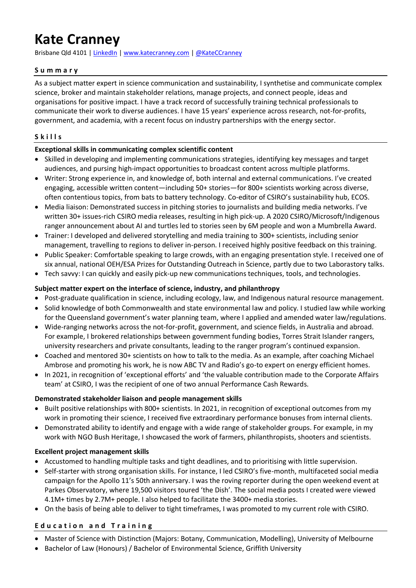# **Kate Cranney**

Brisbane Qld 4101 [| LinkedIn](https://www.linkedin.com/in/kate-cranney-71864923/) [| www.katecranney.com](http://www.katecranney.com/) [| @KateCCranney](https://twitter.com/KateCCranney)

# **S u m m a r y**

As a subject matter expert in science communication and sustainability, I synthetise and communicate complex science, broker and maintain stakeholder relations, manage projects, and connect people, ideas and organisations for positive impact. I have a track record of successfully training technical professionals to communicate their work to diverse audiences. I have 15 years' experience across research, not-for-profits, government, and academia, with a recent focus on industry partnerships with the energy sector.

#### **S k i l l s**

#### **Exceptional skills in communicating complex scientific content**

- Skilled in developing and implementing communications strategies, identifying key messages and target audiences, and pursing high-impact opportunities to broadcast content across multiple platforms.
- Writer: Strong experience in, and knowledge of, both internal and external communications. I've created engaging, accessible written content—including 50+ stories—for 800+ scientists working across diverse, often contentious topics, from bats to battery technology. Co-editor of CSIRO's sustainability hub, ECOS.
- Media liaison: Demonstrated success in pitching stories to journalists and building media networks. I've written 30+ issues-rich CSIRO media releases, resulting in high pick-up. A 2020 CSIRO/Microsoft/Indigenous ranger announcement about AI and turtles led to stories seen by 6M people and won a Mumbrella Award.
- Trainer: I developed and delivered storytelling and media training to 300+ scientists, including senior management, travelling to regions to deliver in-person. I received highly positive feedback on this training.
- Public Speaker: Comfortable speaking to large crowds, with an engaging presentation style. I received one of six annual, national OEH/ESA Prizes for Outstanding Outreach in Science, partly due to two Laborastory talks.
- Tech savvy: I can quickly and easily pick-up new communications techniques, tools, and technologies.

#### **Subject matter expert on the interface of science, industry, and philanthropy**

- Post-graduate qualification in science, including ecology, law, and Indigenous natural resource management.
- Solid knowledge of both Commonwealth and state environmental law and policy. I studied law while working for the Queensland government's water planning team, where I applied and amended water law/regulations.
- Wide-ranging networks across the not-for-profit, government, and science fields, in Australia and abroad. For example, I brokered relationships between government funding bodies, Torres Strait Islander rangers, university researchers and private consultants, leading to the ranger program's continued expansion.
- Coached and mentored 30+ scientists on how to talk to the media. As an example, after coaching Michael Ambrose and promoting his work, he is now ABC TV and Radio's go-to expert on energy efficient homes.
- In 2021, in recognition of 'exceptional efforts' and 'the valuable contribution made to the Corporate Affairs team' at CSIRO, I was the recipient of one of two annual Performance Cash Rewards.

#### **Demonstrated stakeholder liaison and people management skills**

- Built positive relationships with 800+ scientists. In 2021, in recognition of exceptional outcomes from my work in promoting their science, I received five extraordinary performance bonuses from internal clients.
- Demonstrated ability to identify and engage with a wide range of stakeholder groups. For example, in my work with NGO Bush Heritage, I showcased the work of farmers, philanthropists, shooters and scientists.

#### **Excellent project management skills**

- Accustomed to handling multiple tasks and tight deadlines, and to prioritising with little supervision.
- Self-starter with strong organisation skills. For instance, I led CSIRO's five-month, multifaceted social media campaign for the Apollo 11's 50th anniversary. I was the roving reporter during the open weekend event at Parkes Observatory, where 19,500 visitors toured 'the Dish'. The social media posts I created were viewed 4.1M+ times by 2.7M+ people. I also helped to facilitate the 3400+ media stories.
- On the basis of being able to deliver to tight timeframes, I was promoted to my current role with CSIRO.

# **Education and Training**

- Master of Science with Distinction (Majors: Botany, Communication, Modelling), University of Melbourne
- Bachelor of Law (Honours) / Bachelor of Environmental Science, Griffith University